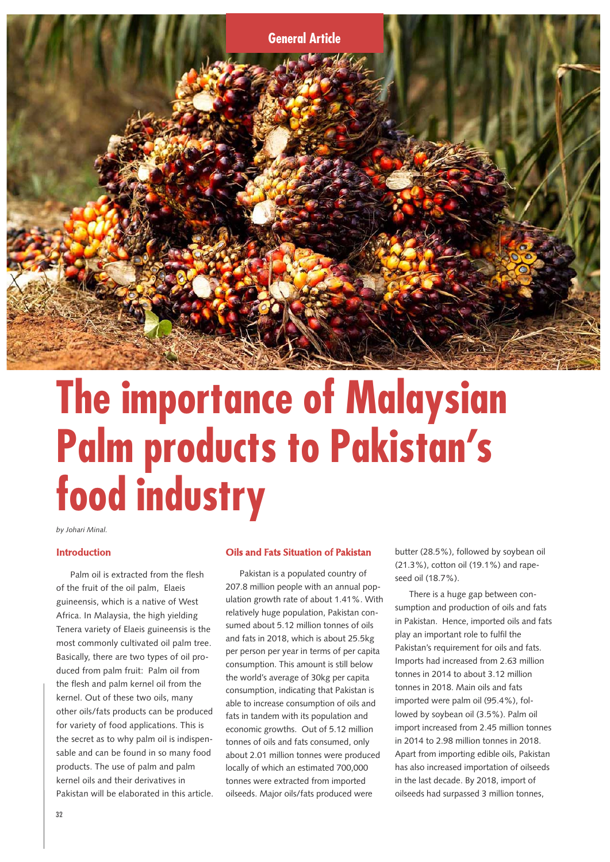

# **The importance of Malaysian Palm products to Pakistan's food industry**

*by Johari Minal.*

#### **Introduction**

Palm oil is extracted from the flesh of the fruit of the oil palm, Elaeis guineensis, which is a native of West Africa. In Malaysia, the high yielding Tenera variety of Elaeis guineensis is the most commonly cultivated oil palm tree. Basically, there are two types of oil produced from palm fruit: Palm oil from the flesh and palm kernel oil from the kernel. Out of these two oils, many other oils/fats products can be produced for variety of food applications. This is the secret as to why palm oil is indispensable and can be found in so many food products. The use of palm and palm kernel oils and their derivatives in Pakistan will be elaborated in this article.

#### **Oils and Fats Situation of Pakistan**

Pakistan is a populated country of 207.8 million people with an annual population growth rate of about 1.41%. With relatively huge population, Pakistan consumed about 5.12 million tonnes of oils and fats in 2018, which is about 25.5kg per person per year in terms of per capita consumption. This amount is still below the world's average of 30kg per capita consumption, indicating that Pakistan is able to increase consumption of oils and fats in tandem with its population and economic growths. Out of 5.12 million tonnes of oils and fats consumed, only about 2.01 million tonnes were produced locally of which an estimated 700,000 tonnes were extracted from imported oilseeds. Major oils/fats produced were

butter (28.5%), followed by soybean oil (21.3%), cotton oil (19.1%) and rapeseed oil (18.7%).

There is a huge gap between consumption and production of oils and fats in Pakistan. Hence, imported oils and fats play an important role to fulfil the Pakistan's requirement for oils and fats. Imports had increased from 2.63 million tonnes in 2014 to about 3.12 million tonnes in 2018. Main oils and fats imported were palm oil (95.4%), followed by soybean oil (3.5%). Palm oil import increased from 2.45 million tonnes in 2014 to 2.98 million tonnes in 2018. Apart from importing edible oils, Pakistan has also increased importation of oilseeds in the last decade. By 2018, import of oilseeds had surpassed 3 million tonnes,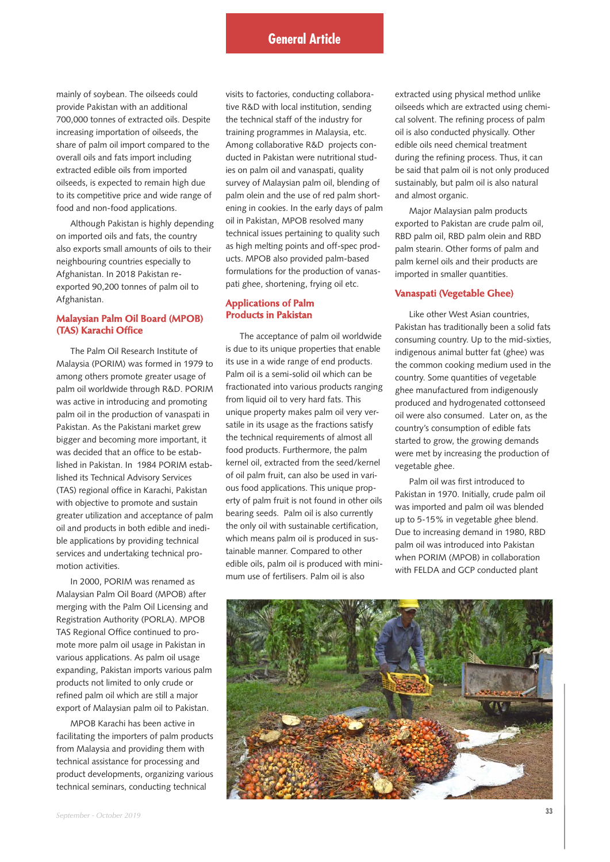mainly of soybean. The oilseeds could provide Pakistan with an additional 700,000 tonnes of extracted oils. Despite increasing importation of oilseeds, the share of palm oil import compared to the overall oils and fats import including extracted edible oils from imported oilseeds, is expected to remain high due to its competitive price and wide range of food and non-food applications.

Although Pakistan is highly depending on imported oils and fats, the country also exports small amounts of oils to their neighbouring countries especially to Afghanistan. In 2018 Pakistan reexported 90,200 tonnes of palm oil to Afghanistan.

## **Malaysian Palm Oil Board (MPOB) (TAS) Karachi Office**

The Palm Oil Research Institute of Malaysia (PORIM) was formed in 1979 to among others promote greater usage of palm oil worldwide through R&D. PORIM was active in introducing and promoting palm oil in the production of vanaspati in Pakistan. As the Pakistani market grew bigger and becoming more important, it was decided that an office to be established in Pakistan. In 1984 PORIM established its Technical Advisory Services (TAS) regional office in Karachi, Pakistan with objective to promote and sustain greater utilization and acceptance of palm oil and products in both edible and inedible applications by providing technical services and undertaking technical promotion activities.

In 2000, PORIM was renamed as Malaysian Palm Oil Board (MPOB) after merging with the Palm Oil Licensing and Registration Authority (PORLA). MPOB TAS Regional Office continued to promote more palm oil usage in Pakistan in various applications. As palm oil usage expanding, Pakistan imports various palm products not limited to only crude or refined palm oil which are still a major export of Malaysian palm oil to Pakistan.

MPOB Karachi has been active in facilitating the importers of palm products from Malaysia and providing them with technical assistance for processing and product developments, organizing various technical seminars, conducting technical

visits to factories, conducting collaborative R&D with local institution, sending the technical staff of the industry for training programmes in Malaysia, etc. Among collaborative R&D projects conducted in Pakistan were nutritional studies on palm oil and vanaspati, quality survey of Malaysian palm oil, blending of palm olein and the use of red palm shortening in cookies. In the early days of palm oil in Pakistan, MPOB resolved many technical issues pertaining to quality such as high melting points and off-spec products. MPOB also provided palm-based formulations for the production of vanaspati ghee, shortening, frying oil etc.

# **Applications of Palm Products in Pakistan**

The acceptance of palm oil worldwide is due to its unique properties that enable its use in a wide range of end products. Palm oil is a semi-solid oil which can be fractionated into various products ranging from liquid oil to very hard fats. This unique property makes palm oil very versatile in its usage as the fractions satisfy the technical requirements of almost all food products. Furthermore, the palm kernel oil, extracted from the seed/kernel of oil palm fruit, can also be used in various food applications. This unique property of palm fruit is not found in other oils bearing seeds. Palm oil is also currently the only oil with sustainable certification, which means palm oil is produced in sustainable manner. Compared to other edible oils, palm oil is produced with minimum use of fertilisers. Palm oil is also

extracted using physical method unlike oilseeds which are extracted using chemical solvent. The refining process of palm oil is also conducted physically. Other edible oils need chemical treatment during the refining process. Thus, it can be said that palm oil is not only produced sustainably, but palm oil is also natural and almost organic.

Major Malaysian palm products exported to Pakistan are crude palm oil, RBD palm oil, RBD palm olein and RBD palm stearin. Other forms of palm and palm kernel oils and their products are imported in smaller quantities.

#### **Vanaspati (Vegetable Ghee)**

Like other West Asian countries, Pakistan has traditionally been a solid fats consuming country. Up to the mid-sixties, indigenous animal butter fat (ghee) was the common cooking medium used in the country. Some quantities of vegetable ghee manufactured from indigenously produced and hydrogenated cottonseed oil were also consumed. Later on, as the country's consumption of edible fats started to grow, the growing demands were met by increasing the production of vegetable ghee.

Palm oil was first introduced to Pakistan in 1970. Initially, crude palm oil was imported and palm oil was blended up to 5-15% in vegetable ghee blend. Due to increasing demand in 1980, RBD palm oil was introduced into Pakistan when PORIM (MPOB) in collaboration with FELDA and GCP conducted plant

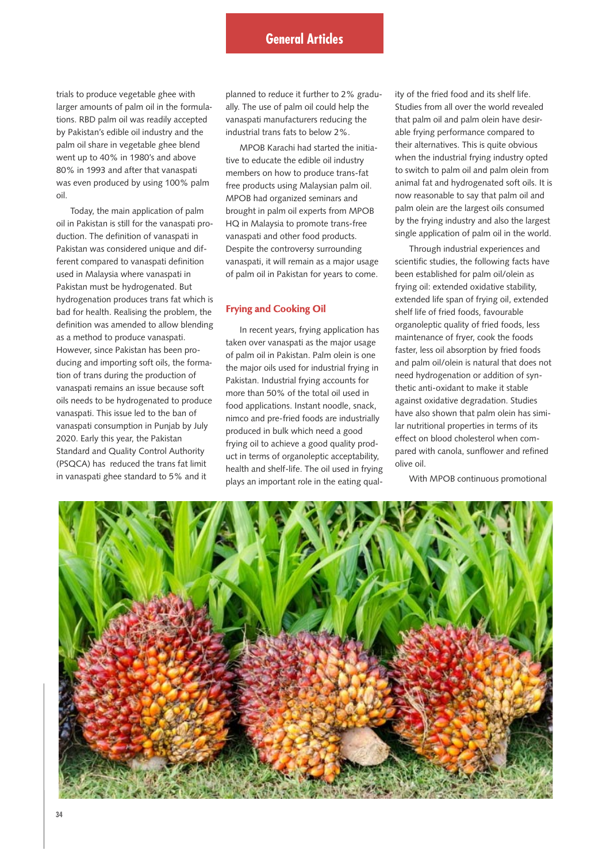trials to produce vegetable ghee with larger amounts of palm oil in the formulations. RBD palm oil was readily accepted by Pakistan's edible oil industry and the palm oil share in vegetable ghee blend went up to 40% in 1980's and above 80% in 1993 and after that vanaspati was even produced by using 100% palm oil.

Today, the main application of palm oil in Pakistan is still for the vanaspati production. The definition of vanaspati in Pakistan was considered unique and different compared to vanaspati definition used in Malaysia where vanaspati in Pakistan must be hydrogenated. But hydrogenation produces trans fat which is bad for health. Realising the problem, the definition was amended to allow blending as a method to produce vanaspati. However, since Pakistan has been producing and importing soft oils, the formation of trans during the production of vanaspati remains an issue because soft oils needs to be hydrogenated to produce vanaspati. This issue led to the ban of vanaspati consumption in Punjab by July 2020. Early this year, the Pakistan Standard and Quality Control Authority (PSQCA) has reduced the trans fat limit in vanaspati ghee standard to 5% and it

planned to reduce it further to 2% gradually. The use of palm oil could help the vanaspati manufacturers reducing the industrial trans fats to below 2%.

MPOB Karachi had started the initiative to educate the edible oil industry members on how to produce trans-fat free products using Malaysian palm oil. MPOB had organized seminars and brought in palm oil experts from MPOB HQ in Malaysia to promote trans-free vanaspati and other food products. Despite the controversy surrounding vanaspati, it will remain as a major usage of palm oil in Pakistan for years to come.

## **Frying and Cooking Oil**

In recent years, frying application has taken over vanaspati as the major usage of palm oil in Pakistan. Palm olein is one the major oils used for industrial frying in Pakistan. Industrial frying accounts for more than 50% of the total oil used in food applications. Instant noodle, snack, nimco and pre-fried foods are industrially produced in bulk which need a good frying oil to achieve a good quality product in terms of organoleptic acceptability, health and shelf-life. The oil used in frying plays an important role in the eating qual-

ity of the fried food and its shelf life. Studies from all over the world revealed that palm oil and palm olein have desirable frying performance compared to their alternatives. This is quite obvious when the industrial frying industry opted to switch to palm oil and palm olein from animal fat and hydrogenated soft oils. It is now reasonable to say that palm oil and palm olein are the largest oils consumed by the frying industry and also the largest single application of palm oil in the world.

Through industrial experiences and scientific studies, the following facts have been established for palm oil/olein as frying oil: extended oxidative stability, extended life span of frying oil, extended shelf life of fried foods, favourable organoleptic quality of fried foods, less maintenance of fryer, cook the foods faster, less oil absorption by fried foods and palm oil/olein is natural that does not need hydrogenation or addition of synthetic anti-oxidant to make it stable against oxidative degradation. Studies have also shown that palm olein has similar nutritional properties in terms of its effect on blood cholesterol when compared with canola, sunflower and refined olive oil.

With MPOB continuous promotional